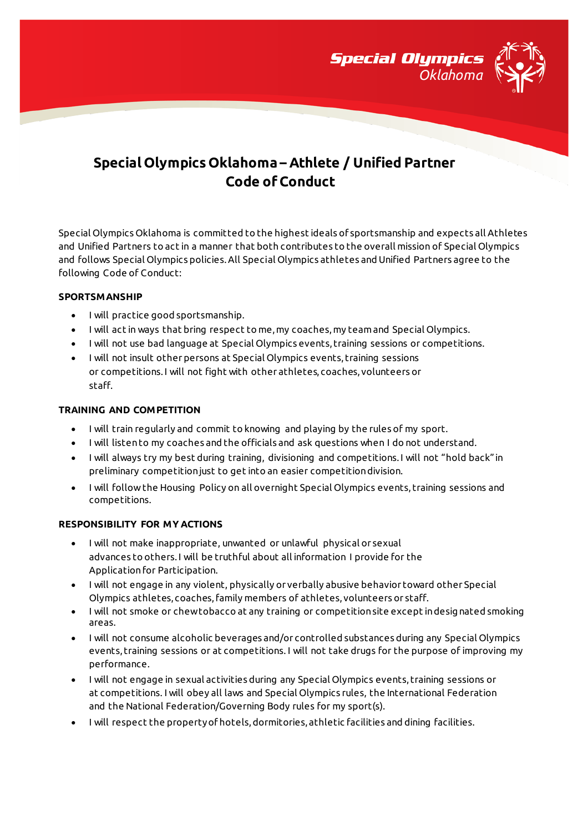

# **Special Olympics Oklahoma – Athlete / Unified Partner Code of Conduct**

Special Olympics Oklahoma is committed to the highest ideals of sportsmanship and expects all Athletes and Unified Partners to act in a manner that both contributes to the overall mission of Special Olympics and follows Special Olympics policies. All Special Olympics athletes and Unified Partners agree to the following Code of Conduct:

### **SPORTSMANSHIP**

- I will practice good sportsmanship.
- I will act in ways that bring respect to me, my coaches, my team and Special Olympics.
- I will not use bad language at Special Olympics events, training sessions or competitions.
- I will not insult other persons at Special Olympics events, training sessions or competitions. I will not fight with other athletes, coaches, volunteers or staff.

## **TRAINING AND COMPETITION**

- I will train regularly and commit to knowing and playing by the rules of my sport.
- I will listen to my coaches and the officials and ask questions when I do not understand.
- I will always try my best during training, divisioning and competitions. I will not "hold back" in preliminary competition just to get into an easier competition division.
- I will follow the Housing Policy on all overnight Special Olympics events, training sessions and competitions.

### **RESPONSIBILITY FOR MY ACTIONS**

- I will not make inappropriate, unwanted or unlawful physical or sexual advances to others. I will be truthful about all information I provide for the Application for Participation.
- I will not engage in any violent, physically or verbally abusive behavior toward other Special Olympics athletes, coaches, family members of athletes, volunteers or staff.
- $\bullet$  I will not smoke or chew tobacco at any training or competition site except in designated smoking areas.
- I will not consume alcoholic beverages and/or controlled substances during any Special Olympics events, training sessions or at competitions. I will not take drugs for the purpose of improving my performance.
- I will not engage in sexual activities during any Special Olympics events, training sessions or at competitions. I will obey all laws and Special Olympics rules, the International Federation and the National Federation/Governing Body rules for my sport(s).
- I will respect the property of hotels, dormitories, athletic facilities and dining facilities.